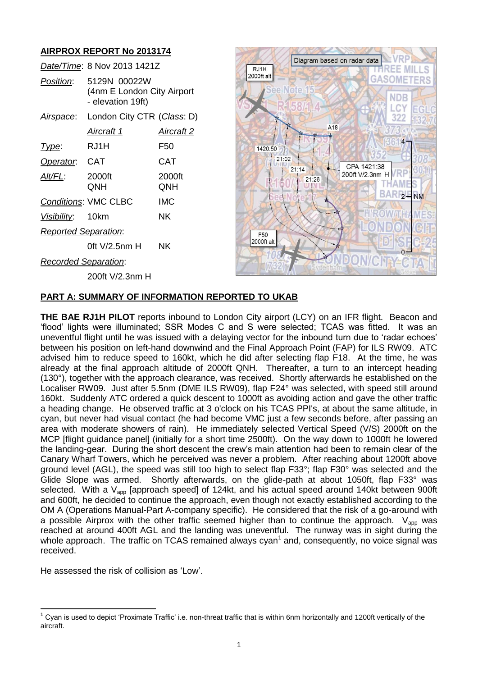# **AIRPROX REPORT No 2013174**

|                             | Date/Time: 8 Nov 2013 1421Z                                     |               |
|-----------------------------|-----------------------------------------------------------------|---------------|
| <i>Position:</i>            | 5129N 00022W<br>(4nm E London City Airport<br>- elevation 19ft) |               |
| <u>Airspace</u> :           | London City CTR (Class: D)                                      |               |
|                             | Aircraft 1                                                      | Aircraft 2    |
| <u>I ype:</u>               | RJ1H                                                            | F50           |
| Operator: CAT               |                                                                 | <b>CAT</b>    |
| Alt/FL:                     | 2000ft<br>QNH                                                   | 2000ft<br>QNH |
|                             | <b>Conditions: VMC CLBC</b>                                     | IMC           |
| Visibility: 10km            |                                                                 | NΚ            |
| <b>Reported Separation:</b> |                                                                 |               |
|                             | 0ft V/2.5nm H                                                   | ΝK            |
| <b>Recorded Separation:</b> |                                                                 |               |
|                             | 200ft V/2.3nm H                                                 |               |



#### **PART A: SUMMARY OF INFORMATION REPORTED TO UKAB**

**THE BAE RJ1H PILOT** reports inbound to London City airport (LCY) on an IFR flight. Beacon and 'flood' lights were illuminated; SSR Modes C and S were selected; TCAS was fitted. It was an uneventful flight until he was issued with a delaying vector for the inbound turn due to 'radar echoes' between his position on left-hand downwind and the Final Approach Point (FAP) for ILS RW09. ATC advised him to reduce speed to 160kt, which he did after selecting flap F18. At the time, he was already at the final approach altitude of 2000ft QNH. Thereafter, a turn to an intercept heading (130°), together with the approach clearance, was received. Shortly afterwards he established on the Localiser RW09. Just after 5.5nm (DME ILS RW09), flap F24° was selected, with speed still around 160kt. Suddenly ATC ordered a quick descent to 1000ft as avoiding action and gave the other traffic a heading change. He observed traffic at 3 o'clock on his TCAS PPI's, at about the same altitude, in cyan, but never had visual contact (he had become VMC just a few seconds before, after passing an area with moderate showers of rain). He immediately selected Vertical Speed (V/S) 2000ft on the MCP [flight guidance panel] (initially for a short time 2500ft). On the way down to 1000ft he lowered the landing-gear. During the short descent the crew's main attention had been to remain clear of the Canary Wharf Towers, which he perceived was never a problem. After reaching about 1200ft above ground level (AGL), the speed was still too high to select flap F33°; flap F30° was selected and the Glide Slope was armed. Shortly afterwards, on the glide-path at about 1050ft, flap F33° was selected. With a V<sub>app</sub> [approach speed] of 124kt, and his actual speed around 140kt between 900ft and 600ft, he decided to continue the approach, even though not exactly established according to the OM A (Operations Manual-Part A-company specific). He considered that the risk of a go-around with a possible Airprox with the other traffic seemed higher than to continue the approach.  $V_{app}$  was reached at around 400ft AGL and the landing was uneventful. The runway was in sight during the whole approach. The traffic on TCAS remained always cyan<sup>1</sup> and, consequently, no voice signal was received.

He assessed the risk of collision as 'Low'.

 $\overline{\phantom{a}}$ <sup>1</sup> Cyan is used to depict 'Proximate Traffic' i.e. non-threat traffic that is within 6nm horizontally and 1200ft vertically of the aircraft.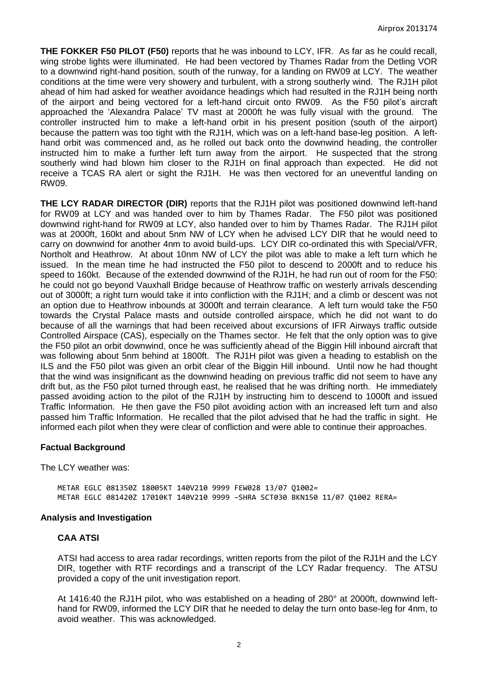**THE FOKKER F50 PILOT (F50)** reports that he was inbound to LCY, IFR. As far as he could recall, wing strobe lights were illuminated. He had been vectored by Thames Radar from the Detling VOR to a downwind right-hand position, south of the runway, for a landing on RW09 at LCY. The weather conditions at the time were very showery and turbulent, with a strong southerly wind. The RJ1H pilot ahead of him had asked for weather avoidance headings which had resulted in the RJ1H being north of the airport and being vectored for a left-hand circuit onto RW09. As the F50 pilot's aircraft approached the 'Alexandra Palace' TV mast at 2000ft he was fully visual with the ground. The controller instructed him to make a left-hand orbit in his present position (south of the airport) because the pattern was too tight with the RJ1H, which was on a left-hand base-leg position. A lefthand orbit was commenced and, as he rolled out back onto the downwind heading, the controller instructed him to make a further left turn away from the airport. He suspected that the strong southerly wind had blown him closer to the RJ1H on final approach than expected. He did not receive a TCAS RA alert or sight the RJ1H. He was then vectored for an uneventful landing on RW09.

**THE LCY RADAR DIRECTOR (DIR)** reports that the RJ1H pilot was positioned downwind left-hand for RW09 at LCY and was handed over to him by Thames Radar. The F50 pilot was positioned downwind right-hand for RW09 at LCY, also handed over to him by Thames Radar. The RJ1H pilot was at 2000ft, 160kt and about 5nm NW of LCY when he advised LCY DIR that he would need to carry on downwind for another 4nm to avoid build-ups. LCY DIR co-ordinated this with Special/VFR, Northolt and Heathrow. At about 10nm NW of LCY the pilot was able to make a left turn which he issued. In the mean time he had instructed the F50 pilot to descend to 2000ft and to reduce his speed to 160kt. Because of the extended downwind of the RJ1H, he had run out of room for the F50: he could not go beyond Vauxhall Bridge because of Heathrow traffic on westerly arrivals descending out of 3000ft; a right turn would take it into confliction with the RJ1H; and a climb or descent was not an option due to Heathrow inbounds at 3000ft and terrain clearance. A left turn would take the F50 towards the Crystal Palace masts and outside controlled airspace, which he did not want to do because of all the warnings that had been received about excursions of IFR Airways traffic outside Controlled Airspace (CAS), especially on the Thames sector. He felt that the only option was to give the F50 pilot an orbit downwind, once he was sufficiently ahead of the Biggin Hill inbound aircraft that was following about 5nm behind at 1800ft. The RJ1H pilot was given a heading to establish on the ILS and the F50 pilot was given an orbit clear of the Biggin Hill inbound. Until now he had thought that the wind was insignificant as the downwind heading on previous traffic did not seem to have any drift but, as the F50 pilot turned through east, he realised that he was drifting north. He immediately passed avoiding action to the pilot of the RJ1H by instructing him to descend to 1000ft and issued Traffic Information. He then gave the F50 pilot avoiding action with an increased left turn and also passed him Traffic Information. He recalled that the pilot advised that he had the traffic in sight. He informed each pilot when they were clear of confliction and were able to continue their approaches.

### **Factual Background**

The LCY weather was:

METAR EGLC 081350Z 18005KT 140V210 9999 FEW028 13/07 Q1002= METAR EGLC 081420Z 17010KT 140V210 9999 –SHRA SCT030 BKN150 11/07 Q1002 RERA=

#### **Analysis and Investigation**

### **CAA ATSI**

ATSI had access to area radar recordings, written reports from the pilot of the RJ1H and the LCY DIR, together with RTF recordings and a transcript of the LCY Radar frequency. The ATSU provided a copy of the unit investigation report.

At 1416:40 the RJ1H pilot, who was established on a heading of 280° at 2000ft, downwind lefthand for RW09, informed the LCY DIR that he needed to delay the turn onto base-leg for 4nm, to avoid weather. This was acknowledged.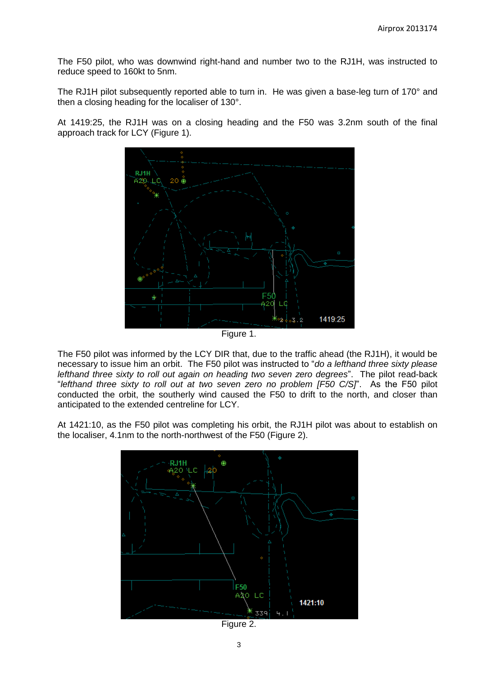The F50 pilot, who was downwind right-hand and number two to the RJ1H, was instructed to reduce speed to 160kt to 5nm.

The RJ1H pilot subsequently reported able to turn in. He was given a base-leg turn of 170° and then a closing heading for the localiser of 130°.

At 1419:25, the RJ1H was on a closing heading and the F50 was 3.2nm south of the final approach track for LCY (Figure 1).



Figure 1.

The F50 pilot was informed by the LCY DIR that, due to the traffic ahead (the RJ1H), it would be necessary to issue him an orbit. The F50 pilot was instructed to "*do a lefthand three sixty please lefthand three sixty to roll out again on heading two seven zero degrees*". The pilot read-back "*lefthand three sixty to roll out at two seven zero no problem [F50 C/S]*". As the F50 pilot conducted the orbit, the southerly wind caused the F50 to drift to the north, and closer than anticipated to the extended centreline for LCY.

At 1421:10, as the F50 pilot was completing his orbit, the RJ1H pilot was about to establish on the localiser, 4.1nm to the north-northwest of the F50 (Figure 2).



Figure 2.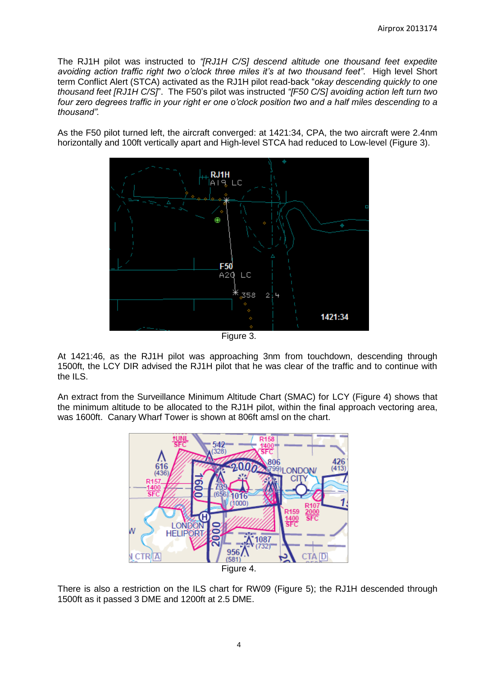The RJ1H pilot was instructed to *"[RJ1H C/S] descend altitude one thousand feet expedite avoiding action traffic right two o'clock three miles it's at two thousand feet"*. High level Short term Conflict Alert (STCA) activated as the RJ1H pilot read-back "*okay descending quickly to one thousand feet [RJ1H C/S]*". The F50's pilot was instructed *"[F50 C/S] avoiding action left turn two four zero degrees traffic in your right er one o'clock position two and a half miles descending to a thousand".*

As the F50 pilot turned left, the aircraft converged: at 1421:34, CPA, the two aircraft were 2.4nm horizontally and 100ft vertically apart and High-level STCA had reduced to Low-level (Figure 3).



At 1421:46, as the RJ1H pilot was approaching 3nm from touchdown, descending through 1500ft, the LCY DIR advised the RJ1H pilot that he was clear of the traffic and to continue with the ILS.

An extract from the Surveillance Minimum Altitude Chart (SMAC) for LCY (Figure 4) shows that the minimum altitude to be allocated to the RJ1H pilot, within the final approach vectoring area, was 1600ft. Canary Wharf Tower is shown at 806ft amsl on the chart.



There is also a restriction on the ILS chart for RW09 (Figure 5); the RJ1H descended through 1500ft as it passed 3 DME and 1200ft at 2.5 DME.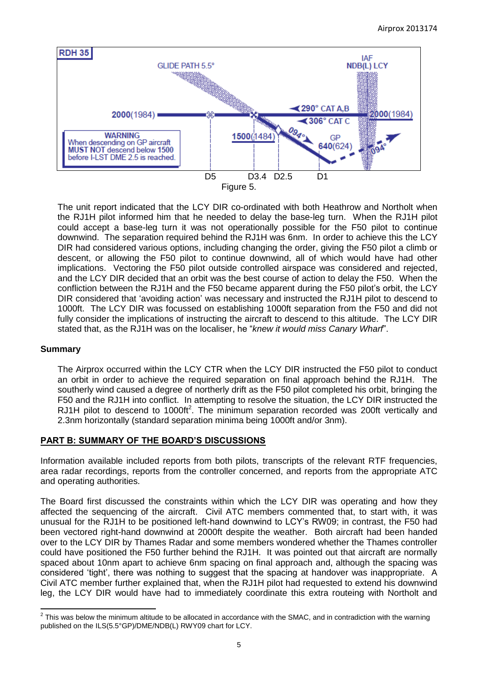

The unit report indicated that the LCY DIR co-ordinated with both Heathrow and Northolt when the RJ1H pilot informed him that he needed to delay the base-leg turn. When the RJ1H pilot could accept a base-leg turn it was not operationally possible for the F50 pilot to continue downwind. The separation required behind the RJ1H was 6nm. In order to achieve this the LCY DIR had considered various options, including changing the order, giving the F50 pilot a climb or descent, or allowing the F50 pilot to continue downwind, all of which would have had other implications. Vectoring the F50 pilot outside controlled airspace was considered and rejected, and the LCY DIR decided that an orbit was the best course of action to delay the F50. When the confliction between the RJ1H and the F50 became apparent during the F50 pilot's orbit, the LCY DIR considered that 'avoiding action' was necessary and instructed the RJ1H pilot to descend to 1000ft. The LCY DIR was focussed on establishing 1000ft separation from the F50 and did not fully consider the implications of instructing the aircraft to descend to this altitude. The LCY DIR stated that, as the RJ1H was on the localiser, he "*knew it would miss Canary Wharf*".

### **Summary**

The Airprox occurred within the LCY CTR when the LCY DIR instructed the F50 pilot to conduct an orbit in order to achieve the required separation on final approach behind the RJ1H. The southerly wind caused a degree of northerly drift as the F50 pilot completed his orbit, bringing the F50 and the RJ1H into conflict. In attempting to resolve the situation, the LCY DIR instructed the RJ1H pilot to descend to 1000ft<sup>2</sup>. The minimum separation recorded was 200ft vertically and 2.3nm horizontally (standard separation minima being 1000ft and/or 3nm).

# **PART B: SUMMARY OF THE BOARD'S DISCUSSIONS**

Information available included reports from both pilots, transcripts of the relevant RTF frequencies, area radar recordings, reports from the controller concerned, and reports from the appropriate ATC and operating authorities.

The Board first discussed the constraints within which the LCY DIR was operating and how they affected the sequencing of the aircraft. Civil ATC members commented that, to start with, it was unusual for the RJ1H to be positioned left-hand downwind to LCY's RW09; in contrast, the F50 had been vectored right-hand downwind at 2000ft despite the weather. Both aircraft had been handed over to the LCY DIR by Thames Radar and some members wondered whether the Thames controller could have positioned the F50 further behind the RJ1H. It was pointed out that aircraft are normally spaced about 10nm apart to achieve 6nm spacing on final approach and, although the spacing was considered 'tight', there was nothing to suggest that the spacing at handover was inappropriate. A Civil ATC member further explained that, when the RJ1H pilot had requested to extend his downwind leg, the LCY DIR would have had to immediately coordinate this extra routeing with Northolt and

<sup>&</sup>lt;u>2</u><br><sup>2</sup> This was below the minimum altitude to be allocated in accordance with the SMAC, and in contradiction with the warning published on the ILS(5.5°GP)/DME/NDB(L) RWY09 chart for LCY.